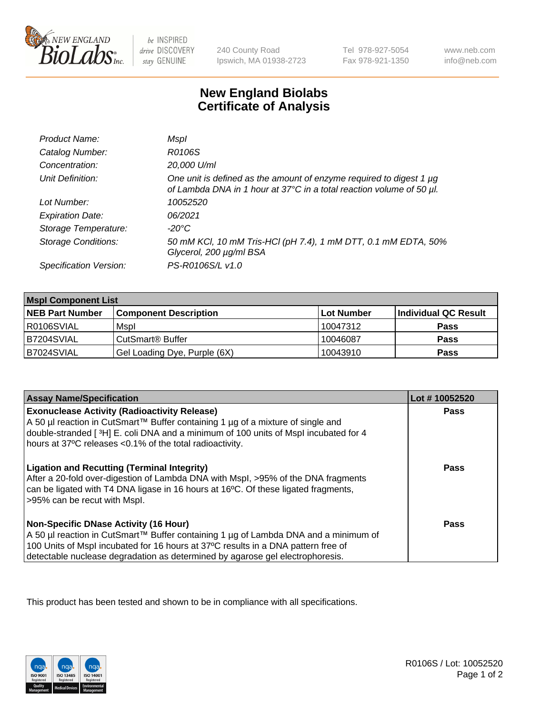

 $be$  INSPIRED drive DISCOVERY stay GENUINE

240 County Road Ipswich, MA 01938-2723 Tel 978-927-5054 Fax 978-921-1350

www.neb.com info@neb.com

## **New England Biolabs Certificate of Analysis**

| Product Name:              | Mspl                                                                                                                                        |
|----------------------------|---------------------------------------------------------------------------------------------------------------------------------------------|
| Catalog Number:            | R0106S                                                                                                                                      |
| Concentration:             | 20,000 U/ml                                                                                                                                 |
| Unit Definition:           | One unit is defined as the amount of enzyme required to digest 1 µg<br>of Lambda DNA in 1 hour at 37°C in a total reaction volume of 50 µl. |
| Lot Number:                | 10052520                                                                                                                                    |
| <b>Expiration Date:</b>    | 06/2021                                                                                                                                     |
| Storage Temperature:       | -20°C                                                                                                                                       |
| <b>Storage Conditions:</b> | 50 mM KCl, 10 mM Tris-HCl (pH 7.4), 1 mM DTT, 0.1 mM EDTA, 50%<br>Glycerol, 200 µg/ml BSA                                                   |
| Specification Version:     | PS-R0106S/L v1.0                                                                                                                            |

| <b>Mspl Component List</b> |                              |            |                      |  |
|----------------------------|------------------------------|------------|----------------------|--|
| <b>NEB Part Number</b>     | <b>Component Description</b> | Lot Number | Individual QC Result |  |
| R0106SVIAL                 | Mspl                         | 10047312   | <b>Pass</b>          |  |
| B7204SVIAL                 | CutSmart <sup>®</sup> Buffer | 10046087   | <b>Pass</b>          |  |
| B7024SVIAL                 | Gel Loading Dye, Purple (6X) | 10043910   | <b>Pass</b>          |  |

| <b>Assay Name/Specification</b>                                                                                                                                                                                                                                                                             | Lot #10052520 |
|-------------------------------------------------------------------------------------------------------------------------------------------------------------------------------------------------------------------------------------------------------------------------------------------------------------|---------------|
| <b>Exonuclease Activity (Radioactivity Release)</b><br>  A 50 µl reaction in CutSmart™ Buffer containing 1 µg of a mixture of single and<br>double-stranded [3H] E. coli DNA and a minimum of 100 units of Mspl incubated for 4<br>hours at 37°C releases <0.1% of the total radioactivity.                 | Pass          |
| <b>Ligation and Recutting (Terminal Integrity)</b><br>After a 20-fold over-digestion of Lambda DNA with Mspl, >95% of the DNA fragments<br>can be ligated with T4 DNA ligase in 16 hours at 16 <sup>o</sup> C. Of these ligated fragments,<br>>95% can be recut with Mspl.                                  | Pass          |
| <b>Non-Specific DNase Activity (16 Hour)</b><br>  A 50 µl reaction in CutSmart™ Buffer containing 1 µg of Lambda DNA and a minimum of<br>100 Units of Mspl incubated for 16 hours at 37°C results in a DNA pattern free of<br>detectable nuclease degradation as determined by agarose gel electrophoresis. | Pass          |

This product has been tested and shown to be in compliance with all specifications.